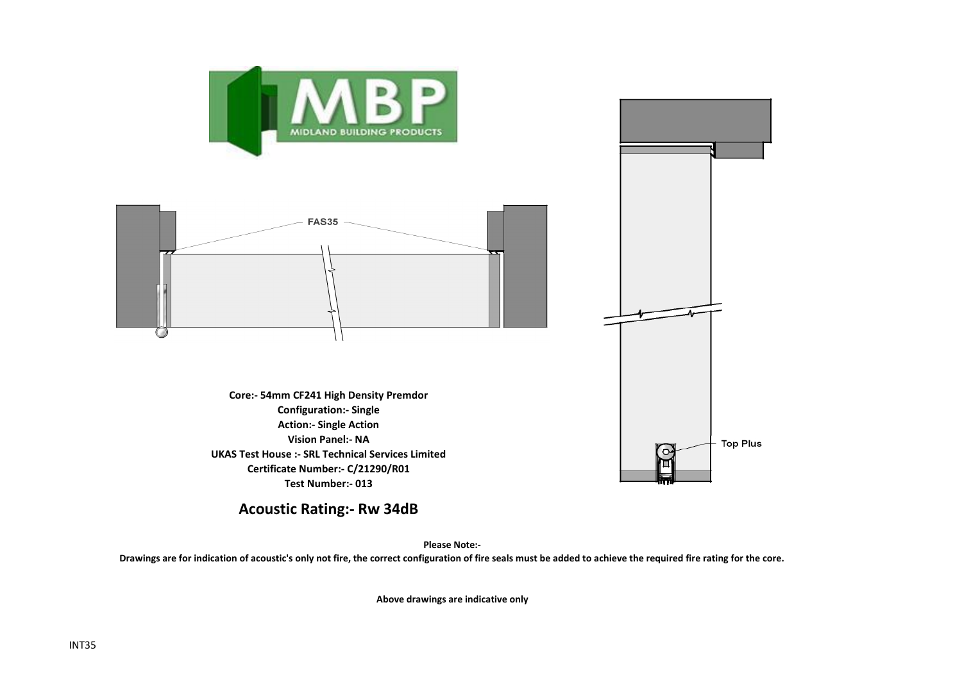

**Acoustic Rating:- Rw 34dB**

**Please Note:-** 

**Drawings are for indication of acoustic's only not fire, the correct configuration of fire seals must be added to achieve the required fire rating for the core.**

**Above drawings are indicative only**